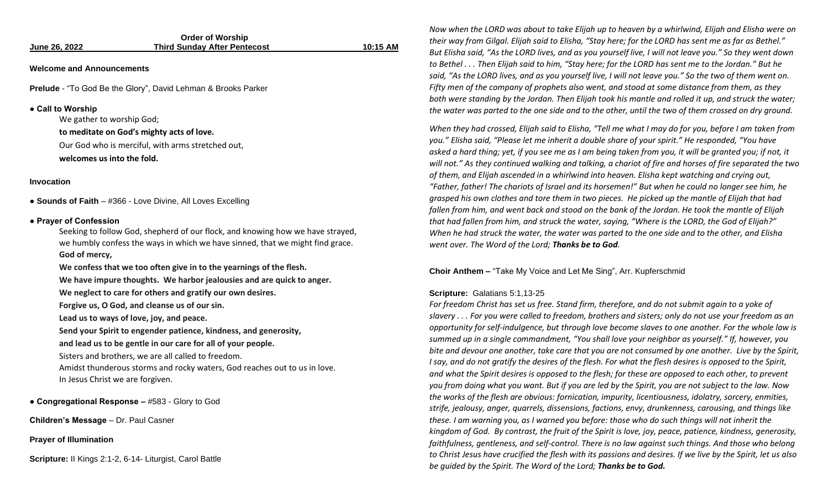| June 26, 2022                                  | <b>Order of Worship</b><br><b>Third Sunday After Pentecost</b>       | 10:15 AM |
|------------------------------------------------|----------------------------------------------------------------------|----------|
| <b>Welcome and Announcements</b>               |                                                                      |          |
|                                                | <b>Prelude</b> - "To God Be the Glory", David Lehman & Brooks Parker |          |
| • Call to Worship<br>We gather to worship God; |                                                                      |          |
|                                                | to meditate on God's mighty acts of love.                            |          |
|                                                | Our God who is merciful, with arms stretched out,                    |          |
| welcomes us into the fold.                     |                                                                      |          |
| <b>Invocation</b>                              |                                                                      |          |
|                                                | • Sounds of Faith $-$ #366 - Love Divine, All Loves Excelling        |          |
| .                                              |                                                                      |          |

## **● Prayer of Confession**

Seeking to follow God, shepherd of our flock, and knowing how we have strayed, we humbly confess the ways in which we have sinned, that we might find grace. **God of mercy,**

**We confess that we too often give in to the yearnings of the flesh. We have impure thoughts. We harbor jealousies and are quick to anger. We neglect to care for others and gratify our own desires. Forgive us, O God, and cleanse us of our sin. Lead us to ways of love, joy, and peace. Send your Spirit to engender patience, kindness, and generosity, and lead us to be gentle in our care for all of your people.** Sisters and brothers, we are all called to freedom. Amidst thunderous storms and rocky waters, God reaches out to us in love. In Jesus Christ we are forgiven.

**● Congregational Response –** #583 - Glory to God

**Children's Message** – Dr. Paul Casner

**Prayer of Illumination**

**Scripture:** II Kings 2:1-2, 6-14- Liturgist, Carol Battle

*Now when the LORD was about to take Elijah up to heaven by a whirlwind, Elijah and Elisha were on their way from Gilgal. Elijah said to Elisha, "Stay here; for the LORD has sent me as far as Bethel." But Elisha said, "As the LORD lives, and as you yourself live, I will not leave you." So they went down to Bethel . . . Then Elijah said to him, "Stay here; for the LORD has sent me to the Jordan." But he said, "As the LORD lives, and as you yourself live, I will not leave you." So the two of them went on. Fifty men of the company of prophets also went, and stood at some distance from them, as they both were standing by the Jordan. Then Elijah took his mantle and rolled it up, and struck the water; the water was parted to the one side and to the other, until the two of them crossed on dry ground.*

*When they had crossed, Elijah said to Elisha, "Tell me what I may do for you, before I am taken from you." Elisha said, "Please let me inherit a double share of your spirit." He responded, "You have asked a hard thing; yet, if you see me as I am being taken from you, it will be granted you; if not, it will not." As they continued walking and talking, a chariot of fire and horses of fire separated the two of them, and Elijah ascended in a whirlwind into heaven. Elisha kept watching and crying out, "Father, father! The chariots of Israel and its horsemen!" But when he could no longer see him, he grasped his own clothes and tore them in two pieces. He picked up the mantle of Elijah that had fallen from him, and went back and stood on the bank of the Jordan. He took the mantle of Elijah that had fallen from him, and struck the water, saying, "Where is the LORD, the God of Elijah?" When he had struck the water, the water was parted to the one side and to the other, and Elisha went over. The Word of the Lord; Thanks be to God.* 

**Choir Anthem –** "Take My Voice and Let Me Sing", Arr. Kupferschmid

## **Scripture:** Galatians 5:1,13-25

*For freedom Christ has set us free. Stand firm, therefore, and do not submit again to a yoke of slavery . . . For you were called to freedom, brothers and sisters; only do not use your freedom as an opportunity for self-indulgence, but through love become slaves to one another. For the whole law is summed up in a single commandment, "You shall love your neighbor as yourself." If, however, you bite and devour one another, take care that you are not consumed by one another. Live by the Spirit, I say, and do not gratify the desires of the flesh. For what the flesh desires is opposed to the Spirit, and what the Spirit desires is opposed to the flesh; for these are opposed to each other, to prevent you from doing what you want. But if you are led by the Spirit, you are not subject to the law. Now the works of the flesh are obvious: fornication, impurity, licentiousness, idolatry, sorcery, enmities, strife, jealousy, anger, quarrels, dissensions, factions, envy, drunkenness, carousing, and things like these. I am warning you, as I warned you before: those who do such things will not inherit the kingdom of God. By contrast, the fruit of the Spirit is love, joy, peace, patience, kindness, generosity, faithfulness, gentleness, and self-control. There is no law against such things. And those who belong to Christ Jesus have crucified the flesh with its passions and desires. If we live by the Spirit, let us also be guided by the Spirit. The Word of the Lord; Thanks be to God.*